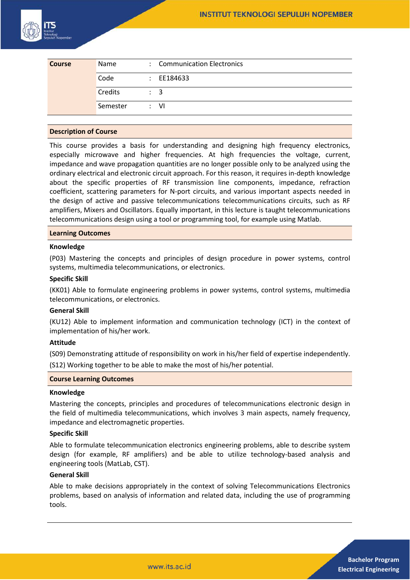

| <b>Course</b> | Name     | : Communication Electronics |
|---------------|----------|-----------------------------|
|               | Code     | $\div$ EE184633             |
|               | Credits  | $\therefore$ 3              |
|               | Semester | : VI                        |

## **Description of Course**

This course provides a basis for understanding and designing high frequency electronics, especially microwave and higher frequencies. At high frequencies the voltage, current, impedance and wave propagation quantities are no longer possible only to be analyzed using the ordinary electrical and electronic circuit approach. For this reason, it requires in-depth knowledge about the specific properties of RF transmission line components, impedance, refraction coefficient, scattering parameters for N-port circuits, and various important aspects needed in the design of active and passive telecommunications telecommunications circuits, such as RF amplifiers, Mixers and Oscillators. Equally important, in this lecture is taught telecommunications telecommunications design using a tool or programming tool, for example using Matlab.

#### **Learning Outcomes**

### **Knowledge**

(P03) Mastering the concepts and principles of design procedure in power systems, control systems, multimedia telecommunications, or electronics.

#### **Specific Skill**

(KK01) Able to formulate engineering problems in power systems, control systems, multimedia telecommunications, or electronics.

#### **General Skill**

(KU12) Able to implement information and communication technology (ICT) in the context of implementation of his/her work.

## **Attitude**

(S09) Demonstrating attitude of responsibility on work in his/her field of expertise independently.

(S12) Working together to be able to make the most of his/her potential.

#### **Course Learning Outcomes**

#### **Knowledge**

Mastering the concepts, principles and procedures of telecommunications electronic design in the field of multimedia telecommunications, which involves 3 main aspects, namely frequency, impedance and electromagnetic properties.

## **Specific Skill**

Able to formulate telecommunication electronics engineering problems, able to describe system design (for example, RF amplifiers) and be able to utilize technology-based analysis and engineering tools (MatLab, CST).

#### **General Skill**

Able to make decisions appropriately in the context of solving Telecommunications Electronics problems, based on analysis of information and related data, including the use of programming tools.